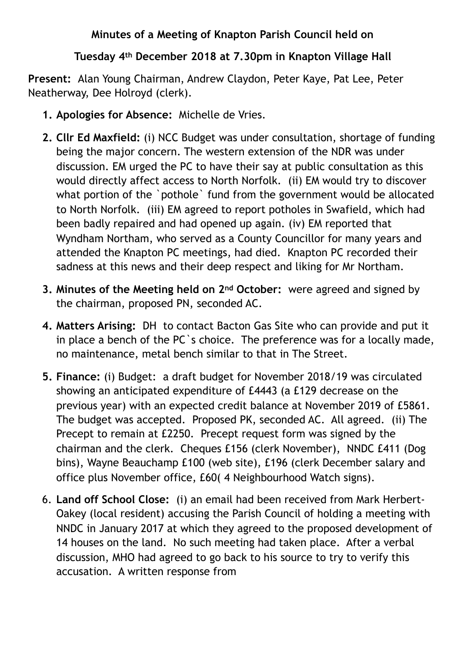## **Minutes of a Meeting of Knapton Parish Council held on**

## **Tuesday 4th December 2018 at 7.30pm in Knapton Village Hall**

**Present:** Alan Young Chairman, Andrew Claydon, Peter Kaye, Pat Lee, Peter Neatherway, Dee Holroyd (clerk).

- **1. Apologies for Absence:** Michelle de Vries.
- **2. Cllr Ed Maxfield:** (i) NCC Budget was under consultation, shortage of funding being the major concern. The western extension of the NDR was under discussion. EM urged the PC to have their say at public consultation as this would directly affect access to North Norfolk. (ii) EM would try to discover what portion of the `pothole` fund from the government would be allocated to North Norfolk. (iii) EM agreed to report potholes in Swafield, which had been badly repaired and had opened up again. (iv) EM reported that Wyndham Northam, who served as a County Councillor for many years and attended the Knapton PC meetings, had died. Knapton PC recorded their sadness at this news and their deep respect and liking for Mr Northam.
- **3. Minutes of the Meeting held on 2nd October:** were agreed and signed by the chairman, proposed PN, seconded AC.
- **4. Matters Arising:** DH to contact Bacton Gas Site who can provide and put it in place a bench of the PC`s choice. The preference was for a locally made, no maintenance, metal bench similar to that in The Street.
- **5. Finance:** (i) Budget: a draft budget for November 2018/19 was circulated showing an anticipated expenditure of £4443 (a £129 decrease on the previous year) with an expected credit balance at November 2019 of £5861. The budget was accepted. Proposed PK, seconded AC. All agreed. (ii) The Precept to remain at £2250. Precept request form was signed by the chairman and the clerk. Cheques £156 (clerk November), NNDC £411 (Dog bins), Wayne Beauchamp £100 (web site), £196 (clerk December salary and office plus November office, £60( 4 Neighbourhood Watch signs).
- 6. **Land off School Close:** (i) an email had been received from Mark Herbert-Oakey (local resident) accusing the Parish Council of holding a meeting with NNDC in January 2017 at which they agreed to the proposed development of 14 houses on the land. No such meeting had taken place. After a verbal discussion, MHO had agreed to go back to his source to try to verify this accusation. A written response from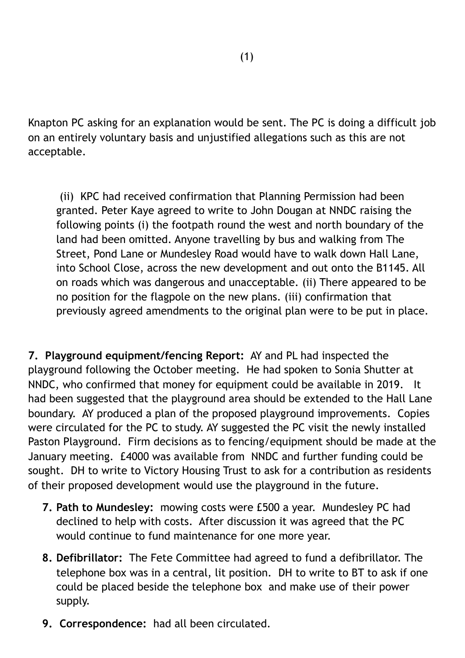Knapton PC asking for an explanation would be sent. The PC is doing a difficult job on an entirely voluntary basis and unjustified allegations such as this are not acceptable.

 (ii) KPC had received confirmation that Planning Permission had been granted. Peter Kaye agreed to write to John Dougan at NNDC raising the following points (i) the footpath round the west and north boundary of the land had been omitted. Anyone travelling by bus and walking from The Street, Pond Lane or Mundesley Road would have to walk down Hall Lane, into School Close, across the new development and out onto the B1145. All on roads which was dangerous and unacceptable. (ii) There appeared to be no position for the flagpole on the new plans. (iii) confirmation that previously agreed amendments to the original plan were to be put in place.

**7. Playground equipment/fencing Report:** AY and PL had inspected the playground following the October meeting. He had spoken to Sonia Shutter at NNDC, who confirmed that money for equipment could be available in 2019. It had been suggested that the playground area should be extended to the Hall Lane boundary. AY produced a plan of the proposed playground improvements. Copies were circulated for the PC to study. AY suggested the PC visit the newly installed Paston Playground. Firm decisions as to fencing/equipment should be made at the January meeting. £4000 was available from NNDC and further funding could be sought. DH to write to Victory Housing Trust to ask for a contribution as residents of their proposed development would use the playground in the future.

- **7. Path to Mundesley:** mowing costs were £500 a year. Mundesley PC had declined to help with costs. After discussion it was agreed that the PC would continue to fund maintenance for one more year.
- **8. Defibrillator:** The Fete Committee had agreed to fund a defibrillator. The telephone box was in a central, lit position. DH to write to BT to ask if one could be placed beside the telephone box and make use of their power supply.
- **9. Correspondence:** had all been circulated.